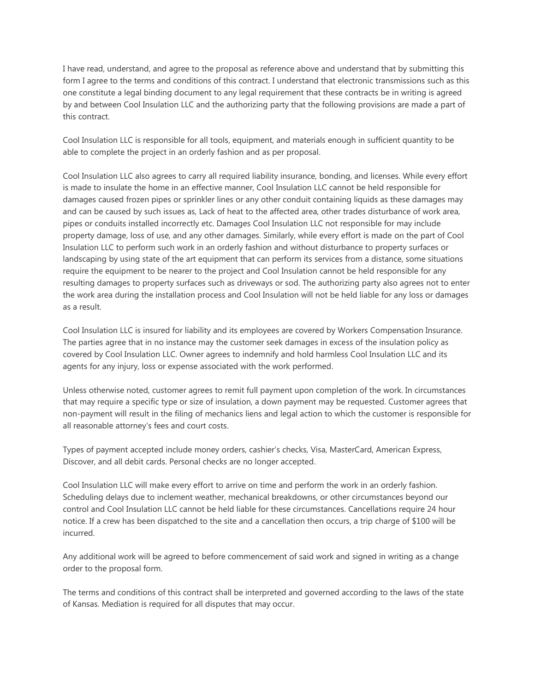I have read, understand, and agree to the proposal as reference above and understand that by submitting this form I agree to the terms and conditions of this contract. I understand that electronic transmissions such as this one constitute a legal binding document to any legal requirement that these contracts be in writing is agreed by and between Cool Insulation LLC and the authorizing party that the following provisions are made a part of this contract.

Cool Insulation LLC is responsible for all tools, equipment, and materials enough in sufficient quantity to be able to complete the project in an orderly fashion and as per proposal.

Cool Insulation LLC also agrees to carry all required liability insurance, bonding, and licenses. While every effort is made to insulate the home in an effective manner, Cool Insulation LLC cannot be held responsible for damages caused frozen pipes or sprinkler lines or any other conduit containing liquids as these damages may and can be caused by such issues as, Lack of heat to the affected area, other trades disturbance of work area, pipes or conduits installed incorrectly etc. Damages Cool Insulation LLC not responsible for may include property damage, loss of use, and any other damages. Similarly, while every effort is made on the part of Cool Insulation LLC to perform such work in an orderly fashion and without disturbance to property surfaces or landscaping by using state of the art equipment that can perform its services from a distance, some situations require the equipment to be nearer to the project and Cool Insulation cannot be held responsible for any resulting damages to property surfaces such as driveways or sod. The authorizing party also agrees not to enter the work area during the installation process and Cool Insulation will not be held liable for any loss or damages as a result.

Cool Insulation LLC is insured for liability and its employees are covered by Workers Compensation Insurance. The parties agree that in no instance may the customer seek damages in excess of the insulation policy as covered by Cool Insulation LLC. Owner agrees to indemnify and hold harmless Cool Insulation LLC and its agents for any injury, loss or expense associated with the work performed.

Unless otherwise noted, customer agrees to remit full payment upon completion of the work. In circumstances that may require a specific type or size of insulation, a down payment may be requested. Customer agrees that non-payment will result in the filing of mechanics liens and legal action to which the customer is responsible for all reasonable attorney's fees and court costs.

Types of payment accepted include money orders, cashier's checks, Visa, MasterCard, American Express, Discover, and all debit cards. Personal checks are no longer accepted.

Cool Insulation LLC will make every effort to arrive on time and perform the work in an orderly fashion. Scheduling delays due to inclement weather, mechanical breakdowns, or other circumstances beyond our control and Cool Insulation LLC cannot be held liable for these circumstances. Cancellations require 24 hour notice. If a crew has been dispatched to the site and a cancellation then occurs, a trip charge of \$100 will be incurred.

Any additional work will be agreed to before commencement of said work and signed in writing as a change order to the proposal form.

The terms and conditions of this contract shall be interpreted and governed according to the laws of the state of Kansas. Mediation is required for all disputes that may occur.